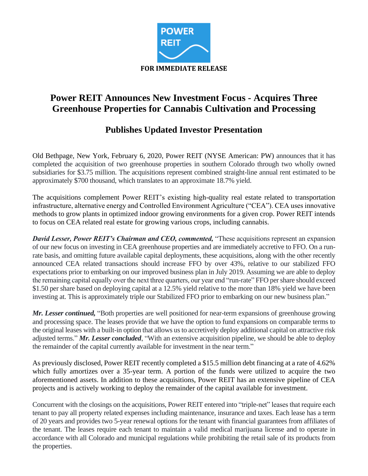

# **Power REIT Announces New Investment Focus - Acquires Three Greenhouse Properties for Cannabis Cultivation and Processing**

## **Publishes Updated Investor Presentation**

Old Bethpage, New York, February 6, 2020, Power REIT (NYSE American: PW) announces that it has completed the acquisition of two greenhouse properties in southern Colorado through two wholly owned subsidiaries for \$3.75 million. The acquisitions represent combined straight-line annual rent estimated to be approximately \$700 thousand, which translates to an approximate 18.7% yield.

The acquisitions complement Power REIT's existing high-quality real estate related to transportation infrastructure, alternative energy and Controlled Environment Agriculture ("CEA"). CEA uses innovative methods to grow plants in optimized indoor growing environments for a given crop. Power REIT intends to focus on CEA related real estate for growing various crops, including cannabis.

*David Lesser, Power REIT's Chairman and CEO, commented,* "These acquisitions represent an expansion of our new focus on investing in CEA greenhouse properties and are immediately accretive to FFO. On a runrate basis, and omitting future available capital deployments, these acquisitions, along with the other recently announced CEA related transactions should increase FFO by over 43%, relative to our stabilized FFO expectations prior to embarking on our improved business plan in July 2019. Assuming we are able to deploy the remaining capital equally over the next three quarters, our year end "run-rate" FFO per share should exceed \$1.50 per share based on deploying capital at a 12.5% yield relative to the more than 18% yield we have been investing at. This is approximately triple our Stabilized FFO prior to embarking on our new business plan."

*Mr. Lesser continued,* "Both properties are well positioned for near-term expansions of greenhouse growing and processing space. The leases provide that we have the option to fund expansions on comparable terms to the original leases with a built-in option that allows us to accretively deploy additional capital on attractive risk adjusted terms." *Mr. Lesser concluded*, "With an extensive acquisition pipeline, we should be able to deploy the remainder of the capital currently available for investment in the near term."

As previously disclosed, Power REIT recently completed a \$15.5 million debt financing at a rate of 4.62% which fully amortizes over a 35-year term. A portion of the funds were utilized to acquire the two aforementioned assets. In addition to these acquisitions, Power REIT has an extensive pipeline of CEA projects and is actively working to deploy the remainder of the capital available for investment.

Concurrent with the closings on the acquisitions, Power REIT entered into "triple-net" leases that require each tenant to pay all property related expenses including maintenance, insurance and taxes. Each lease has a term of 20 years and provides two 5-year renewal options for the tenant with financial guarantees from affiliates of the tenant. The leases require each tenant to maintain a valid medical marijuana license and to operate in accordance with all Colorado and municipal regulations while prohibiting the retail sale of its products from the properties.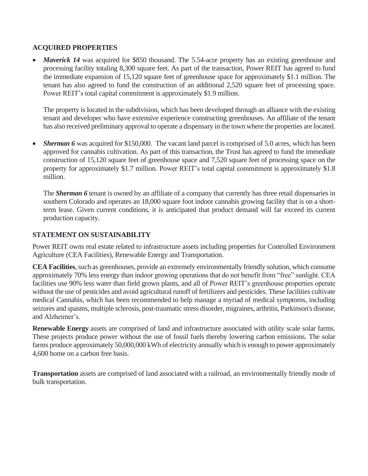## **ACQUIRED PROPERTIES**

• *Maverick 14* was acquired for \$850 thousand. The 5.54-acre property has an existing greenhouse and processing facility totaling 8,300 square feet. As part of the transaction, Power REIT has agreed to fund the immediate expansion of 15,120 square feet of greenhouse space for approximately \$1.1 million. The tenant has also agreed to fund the construction of an additional 2,520 square feet of processing space. Power REIT's total capital commitment is approximately \$1.9 million.

The property is located in the subdivision, which has been developed through an alliance with the existing tenant and developer who have extensive experience constructing greenhouses. An affiliate of the tenant has also received preliminary approval to operate a dispensary in the town where the properties are located.

**Sherman 6** was acquired for \$150,000. The vacant land parcel is comprised of 5.0 acres, which has been approved for cannabis cultivation. As part of this transaction, the Trust has agreed to fund the immediate construction of 15,120 square feet of greenhouse space and 7,520 square feet of processing space on the property for approximately \$1.7 million. Power REIT's total capital commitment is approximately \$1.8 million.

The **Sherman 6** tenant is owned by an affiliate of a company that currently has three retail dispensaries in southern Colorado and operates an 18,000 square foot indoor cannabis growing facility that is on a shortterm lease. Given current conditions, it is anticipated that product demand will far exceed its current production capacity.

## **STATEMENT ON SUSTAINABILITY**

Power REIT owns real estate related to infrastructure assets including properties for Controlled Environment Agriculture (CEA Facilities), Renewable Energy and Transportation.

**CEA Facilities**, such as greenhouses, provide an extremely environmentally friendly solution, which consume approximately 70% less energy than indoor growing operations that do not benefit from "free" sunlight. CEA facilities use 90% less water than field grown plants, and all of Power REIT's greenhouse properties operate without the use of pesticides and avoid agricultural runoff of fertilizers and pesticides. These facilities cultivate medical Cannabis, which has been recommended to help manage a myriad of medical symptoms, including seizures and spasms, multiple sclerosis, post-traumatic stress disorder, migraines, arthritis, Parkinson's disease, and Alzheimer's.

**Renewable Energy** assets are comprised of land and infrastructure associated with utility scale solar farms. These projects produce power without the use of fossil fuels thereby lowering carbon emissions. The solar farms produce approximately 50,000,000 kWh of electricity annually which is enough to power approximately 4,600 home on a carbon free basis.

**Transportation** assets are comprised of land associated with a railroad, an environmentally friendly mode of bulk transportation.